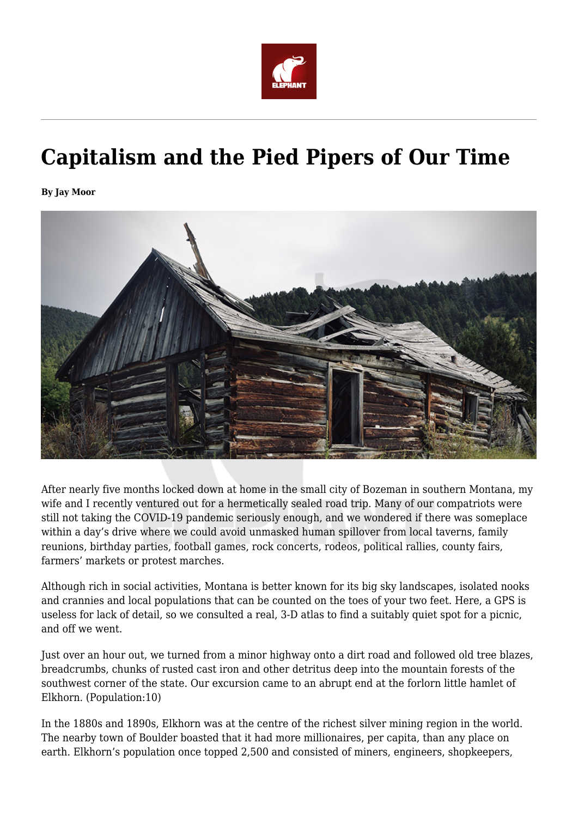

# **Capitalism and the Pied Pipers of Our Time**

**By Jay Moor**



After nearly five months locked down at home in the small city of Bozeman in southern Montana, my wife and I recently ventured out for a hermetically sealed road trip. Many of our compatriots were still not taking the COVID-19 pandemic seriously enough, and we wondered if there was someplace within a day's drive where we could avoid unmasked human spillover from local taverns, family reunions, birthday parties, football games, rock concerts, rodeos, political rallies, county fairs, farmers' markets or protest marches.

Although rich in social activities, Montana is better known for its big sky landscapes, isolated nooks and crannies and local populations that can be counted on the toes of your two feet. Here, a GPS is useless for lack of detail, so we consulted a real, 3-D atlas to find a suitably quiet spot for a picnic, and off we went.

Just over an hour out, we turned from a minor highway onto a dirt road and followed old tree blazes, breadcrumbs, chunks of rusted cast iron and other detritus deep into the mountain forests of the southwest corner of the state. Our excursion came to an abrupt end at the forlorn little hamlet of Elkhorn. (Population:10)

In the 1880s and 1890s, Elkhorn was at the centre of the richest silver mining region in the world. The nearby town of Boulder boasted that it had more millionaires, per capita, than any place on earth. Elkhorn's population once topped 2,500 and consisted of miners, engineers, shopkeepers,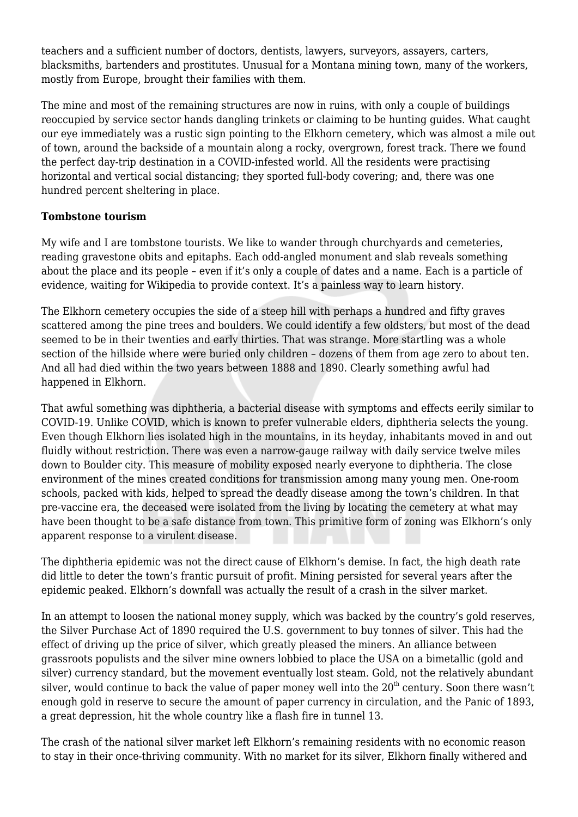teachers and a sufficient number of doctors, dentists, lawyers, surveyors, assayers, carters, blacksmiths, bartenders and prostitutes. Unusual for a Montana mining town, many of the workers, mostly from Europe, brought their families with them.

The mine and most of the remaining structures are now in ruins, with only a couple of buildings reoccupied by service sector hands dangling trinkets or claiming to be hunting guides. What caught our eye immediately was a rustic sign pointing to the Elkhorn cemetery, which was almost a mile out of town, around the backside of a mountain along a rocky, overgrown, forest track. There we found the perfect day-trip destination in a COVID-infested world. All the residents were practising horizontal and vertical social distancing; they sported full-body covering; and, there was one hundred percent sheltering in place.

#### **Tombstone tourism**

My wife and I are tombstone tourists. We like to wander through churchyards and cemeteries, reading gravestone obits and epitaphs. Each odd-angled monument and slab reveals something about the place and its people – even if it's only a couple of dates and a name. Each is a particle of evidence, waiting for Wikipedia to provide context. It's a painless way to learn history.

The Elkhorn cemetery occupies the side of a steep hill with perhaps a hundred and fifty graves scattered among the pine trees and boulders. We could identify a few oldsters, but most of the dead seemed to be in their twenties and early thirties. That was strange. More startling was a whole section of the hillside where were buried only children – dozens of them from age zero to about ten. And all had died within the two years between 1888 and 1890. Clearly something awful had happened in Elkhorn.

That awful something was diphtheria, a bacterial disease with symptoms and effects eerily similar to COVID-19. Unlike COVID, which is known to prefer vulnerable elders, diphtheria selects the young. Even though Elkhorn lies isolated high in the mountains, in its heyday, inhabitants moved in and out fluidly without restriction. There was even a narrow-gauge railway with daily service twelve miles down to Boulder city. This measure of mobility exposed nearly everyone to diphtheria. The close environment of the mines created conditions for transmission among many young men. One-room schools, packed with kids, helped to spread the deadly disease among the town's children. In that pre-vaccine era, the deceased were isolated from the living by locating the cemetery at what may have been thought to be a safe distance from town. This primitive form of zoning was Elkhorn's only apparent response to a virulent disease.

The diphtheria epidemic was not the direct cause of Elkhorn's demise. In fact, the high death rate did little to deter the town's frantic pursuit of profit. Mining persisted for several years after the epidemic peaked. Elkhorn's downfall was actually the result of a crash in the silver market.

In an attempt to loosen the national money supply, which was backed by the country's gold reserves, the Silver Purchase Act of 1890 required the U.S. government to buy tonnes of silver. This had the effect of driving up the price of silver, which greatly pleased the miners. An alliance between grassroots populists and the silver mine owners lobbied to place the USA on a bimetallic (gold and silver) currency standard, but the movement eventually lost steam. Gold, not the relatively abundant silver, would continue to back the value of paper money well into the  $20<sup>th</sup>$  century. Soon there wasn't enough gold in reserve to secure the amount of paper currency in circulation, and the Panic of 1893, a great depression, hit the whole country like a flash fire in tunnel 13.

The crash of the national silver market left Elkhorn's remaining residents with no economic reason to stay in their once-thriving community. With no market for its silver, Elkhorn finally withered and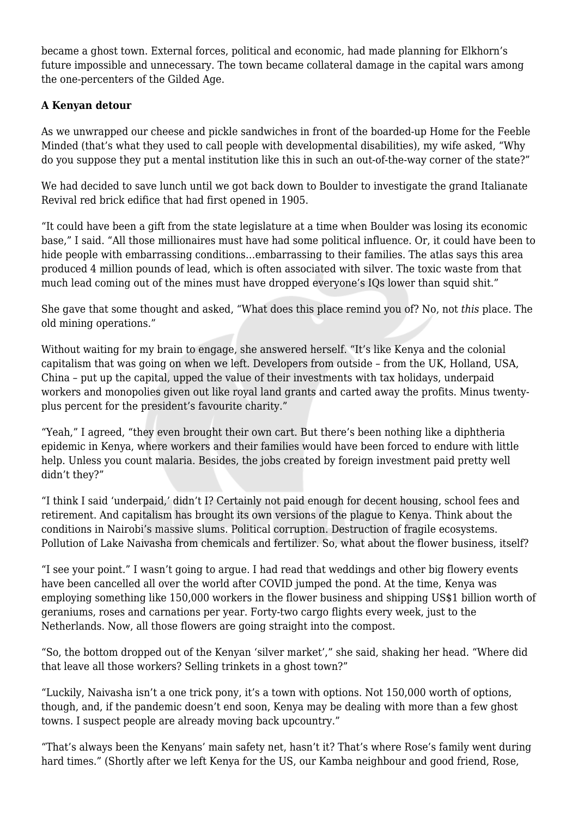became a ghost town. External forces, political and economic, had made planning for Elkhorn's future impossible and unnecessary. The town became collateral damage in the capital wars among the one-percenters of the Gilded Age.

## **A Kenyan detour**

As we unwrapped our cheese and pickle sandwiches in front of the boarded-up Home for the Feeble Minded (that's what they used to call people with developmental disabilities), my wife asked, "Why do you suppose they put a mental institution like this in such an out-of-the-way corner of the state?"

We had decided to save lunch until we got back down to Boulder to investigate the grand Italianate Revival red brick edifice that had first opened in 1905.

"It could have been a gift from the state legislature at a time when Boulder was losing its economic base," I said. "All those millionaires must have had some political influence. Or, it could have been to hide people with embarrassing conditions…embarrassing to their families. The atlas says this area produced 4 million pounds of lead, which is often associated with silver. The toxic waste from that much lead coming out of the mines must have dropped everyone's IOs lower than squid shit."

She gave that some thought and asked, "What does this place remind you of? No, not *this* place. The old mining operations."

Without waiting for my brain to engage, she answered herself. "It's like Kenya and the colonial capitalism that was going on when we left. Developers from outside – from the UK, Holland, USA, China – put up the capital, upped the value of their investments with tax holidays, underpaid workers and monopolies given out like royal land grants and carted away the profits. Minus twentyplus percent for the president's favourite charity."

"Yeah," I agreed, "they even brought their own cart. But there's been nothing like a diphtheria epidemic in Kenya, where workers and their families would have been forced to endure with little help. Unless you count malaria. Besides, the jobs created by foreign investment paid pretty well didn't they?"

"I think I said 'underpaid,' didn't I? Certainly not paid enough for decent housing, school fees and retirement. And capitalism has brought its own versions of the plague to Kenya. Think about the conditions in Nairobi's massive slums. Political corruption. Destruction of fragile ecosystems. Pollution of Lake Naivasha from chemicals and fertilizer. So, what about the flower business, itself?

"I see your point." I wasn't going to argue. I had read that weddings and other big flowery events have been cancelled all over the world after COVID jumped the pond. At the time, Kenya was employing something like 150,000 workers in the flower business and shipping US\$1 billion worth of geraniums, roses and carnations per year. Forty-two cargo flights every week, just to the Netherlands. Now, all those flowers are going straight into the compost.

"So, the bottom dropped out of the Kenyan 'silver market'," she said, shaking her head. "Where did that leave all those workers? Selling trinkets in a ghost town?"

"Luckily, Naivasha isn't a one trick pony, it's a town with options. Not 150,000 worth of options, though, and, if the pandemic doesn't end soon, Kenya may be dealing with more than a few ghost towns. I suspect people are already moving back upcountry."

"That's always been the Kenyans' main safety net, hasn't it? That's where Rose's family went during hard times." (Shortly after we left Kenya for the US, our Kamba neighbour and good friend, Rose,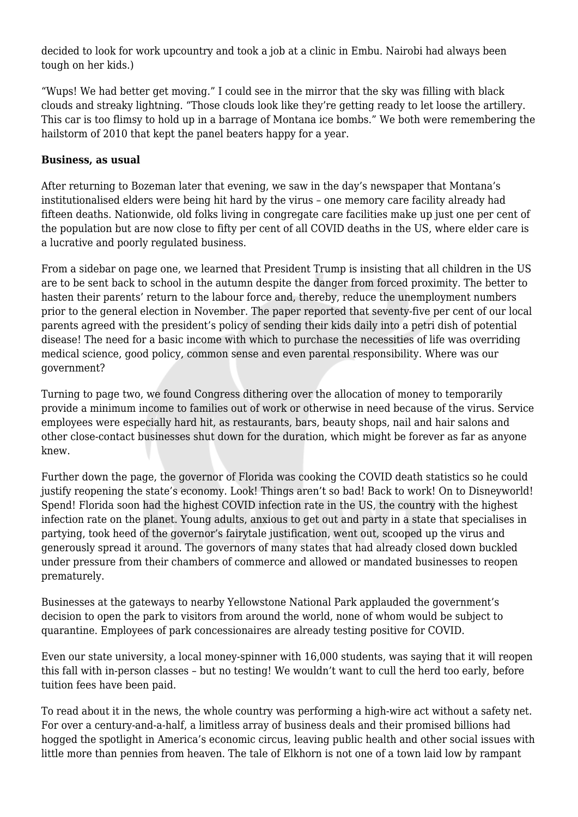decided to look for work upcountry and took a job at a clinic in Embu. Nairobi had always been tough on her kids.)

"Wups! We had better get moving." I could see in the mirror that the sky was filling with black clouds and streaky lightning. "Those clouds look like they're getting ready to let loose the artillery. This car is too flimsy to hold up in a barrage of Montana ice bombs." We both were remembering the hailstorm of 2010 that kept the panel beaters happy for a year.

#### **Business, as usual**

After returning to Bozeman later that evening, we saw in the day's newspaper that Montana's institutionalised elders were being hit hard by the virus – one memory care facility already had fifteen deaths. Nationwide, old folks living in congregate care facilities make up just one per cent of the population but are now close to fifty per cent of all COVID deaths in the US, where elder care is a lucrative and poorly regulated business.

From a sidebar on page one, we learned that President Trump is insisting that all children in the US are to be sent back to school in the autumn despite the danger from forced proximity. The better to hasten their parents' return to the labour force and, thereby, reduce the unemployment numbers prior to the general election in November. The paper reported that seventy-five per cent of our local parents agreed with the president's policy of sending their kids daily into a petri dish of potential disease! The need for a basic income with which to purchase the necessities of life was overriding medical science, good policy, common sense and even parental responsibility. Where was our government?

Turning to page two, we found Congress dithering over the allocation of money to temporarily provide a minimum income to families out of work or otherwise in need because of the virus. Service employees were especially hard hit, as restaurants, bars, beauty shops, nail and hair salons and other close-contact businesses shut down for the duration, which might be forever as far as anyone knew.

Further down the page, the governor of Florida was cooking the COVID death statistics so he could justify reopening the state's economy. Look! Things aren't so bad! Back to work! On to Disneyworld! Spend! Florida soon had the highest COVID infection rate in the US, the country with the highest infection rate on the planet. Young adults, anxious to get out and party in a state that specialises in partying, took heed of the governor's fairytale justification, went out, scooped up the virus and generously spread it around. The governors of many states that had already closed down buckled under pressure from their chambers of commerce and allowed or mandated businesses to reopen prematurely.

Businesses at the gateways to nearby Yellowstone National Park applauded the government's decision to open the park to visitors from around the world, none of whom would be subject to quarantine. Employees of park concessionaires are already testing positive for COVID.

Even our state university, a local money-spinner with 16,000 students, was saying that it will reopen this fall with in-person classes – but no testing! We wouldn't want to cull the herd too early, before tuition fees have been paid.

To read about it in the news, the whole country was performing a high-wire act without a safety net. For over a century-and-a-half, a limitless array of business deals and their promised billions had hogged the spotlight in America's economic circus, leaving public health and other social issues with little more than pennies from heaven. The tale of Elkhorn is not one of a town laid low by rampant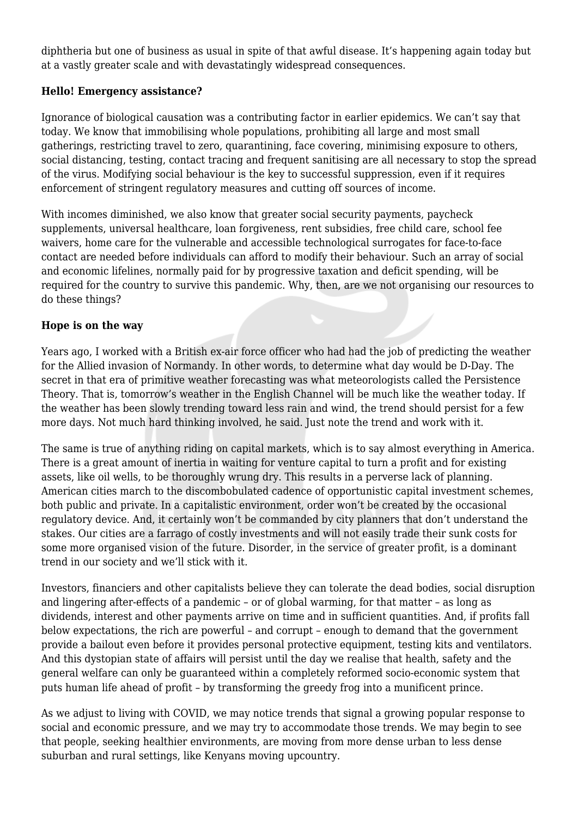diphtheria but one of business as usual in spite of that awful disease. It's happening again today but at a vastly greater scale and with devastatingly widespread consequences.

### **Hello! Emergency assistance?**

Ignorance of biological causation was a contributing factor in earlier epidemics. We can't say that today. We know that immobilising whole populations, prohibiting all large and most small gatherings, restricting travel to zero, quarantining, face covering, minimising exposure to others, social distancing, testing, contact tracing and frequent sanitising are all necessary to stop the spread of the virus. Modifying social behaviour is the key to successful suppression, even if it requires enforcement of stringent regulatory measures and cutting off sources of income.

With incomes diminished, we also know that greater social security payments, paycheck supplements, universal healthcare, loan forgiveness, rent subsidies, free child care, school fee waivers, home care for the vulnerable and accessible technological surrogates for face-to-face contact are needed before individuals can afford to modify their behaviour. Such an array of social and economic lifelines, normally paid for by progressive taxation and deficit spending, will be required for the country to survive this pandemic. Why, then, are we not organising our resources to do these things?

## **Hope is on the way**

Years ago, I worked with a British ex-air force officer who had had the job of predicting the weather for the Allied invasion of Normandy. In other words, to determine what day would be D-Day. The secret in that era of primitive weather forecasting was what meteorologists called the Persistence Theory. That is, tomorrow's weather in the English Channel will be much like the weather today. If the weather has been slowly trending toward less rain and wind, the trend should persist for a few more days. Not much hard thinking involved, he said. Just note the trend and work with it.

The same is true of anything riding on capital markets, which is to say almost everything in America. There is a great amount of inertia in waiting for venture capital to turn a profit and for existing assets, like oil wells, to be thoroughly wrung dry. This results in a perverse lack of planning. American cities march to the discombobulated cadence of opportunistic capital investment schemes, both public and private. In a capitalistic environment, order won't be created by the occasional regulatory device. And, it certainly won't be commanded by city planners that don't understand the stakes. Our cities are a farrago of costly investments and will not easily trade their sunk costs for some more organised vision of the future. Disorder, in the service of greater profit, is a dominant trend in our society and we'll stick with it.

Investors, financiers and other capitalists believe they can tolerate the dead bodies, social disruption and lingering after-effects of a pandemic – or of global warming, for that matter – as long as dividends, interest and other payments arrive on time and in sufficient quantities. And, if profits fall below expectations, the rich are powerful – and corrupt – enough to demand that the government provide a bailout even before it provides personal protective equipment, testing kits and ventilators. And this dystopian state of affairs will persist until the day we realise that health, safety and the general welfare can only be guaranteed within a completely reformed socio-economic system that puts human life ahead of profit – by transforming the greedy frog into a munificent prince.

As we adjust to living with COVID, we may notice trends that signal a growing popular response to social and economic pressure, and we may try to accommodate those trends. We may begin to see that people, seeking healthier environments, are moving from more dense urban to less dense suburban and rural settings, like Kenyans moving upcountry.